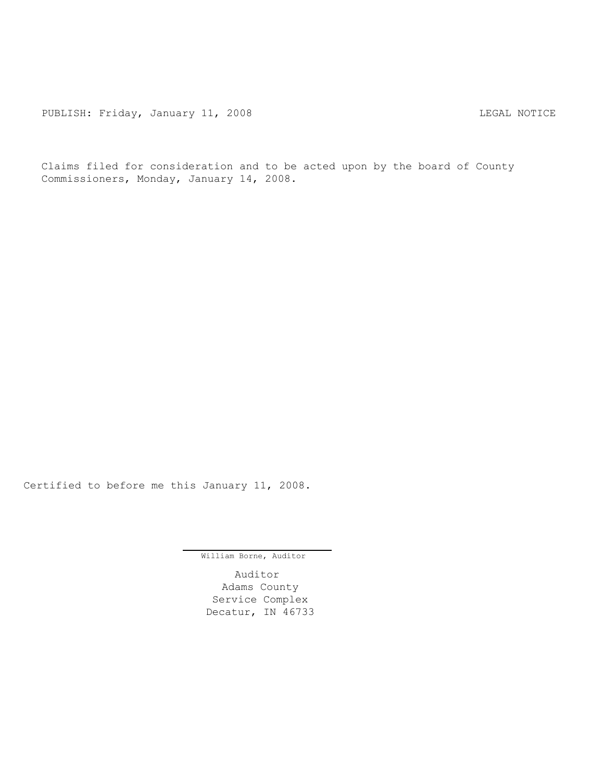PUBLISH: Friday, January 11, 2008 CHA CHANGE CONSTRUCTED MOTICE

Claims filed for consideration and to be acted upon by the board of County Commissioners, Monday, January 14, 2008.

Certified to before me this January 11, 2008.

William Borne, Auditor

Auditor Adams County Service Complex Decatur, IN 46733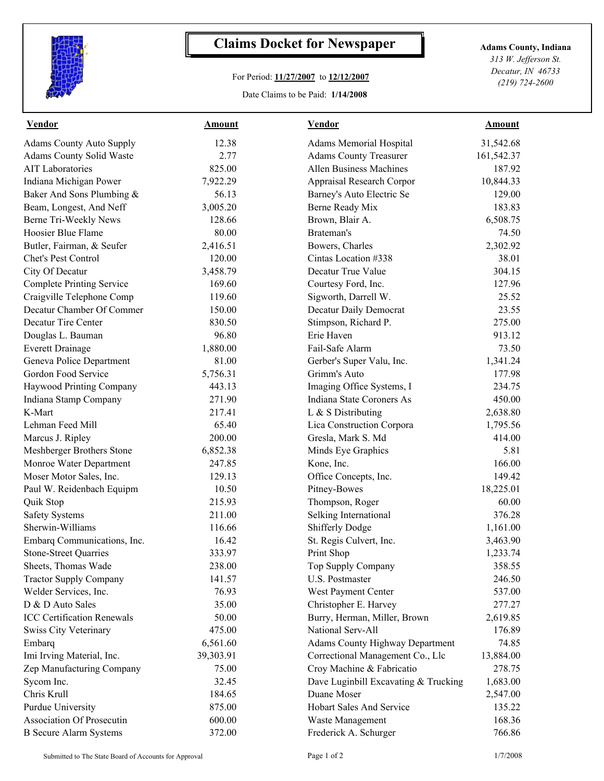

## **Claims Docket for Newspaper Adams County, Indiana**

## For Period: **11/27/2007** to **12/12/2007**

Date Claims to be Paid: **1/14/2008**

*313 W. Jefferson St. Decatur, IN 46733 (219) 724-2600*

| <b>Vendor</b>                     | <b>Amount</b> | <b>Vendor</b>                          | <b>Amount</b> |  |
|-----------------------------------|---------------|----------------------------------------|---------------|--|
| <b>Adams County Auto Supply</b>   | 12.38         | <b>Adams Memorial Hospital</b>         | 31,542.68     |  |
| Adams County Solid Waste          | 2.77          | <b>Adams County Treasurer</b>          | 161,542.37    |  |
| <b>AIT Laboratories</b>           | 825.00        | <b>Allen Business Machines</b>         | 187.92        |  |
| Indiana Michigan Power            | 7,922.29      | Appraisal Research Corpor              | 10,844.33     |  |
| Baker And Sons Plumbing &         | 56.13         | Barney's Auto Electric Se              | 129.00        |  |
| Beam, Longest, And Neff           | 3,005.20      | Berne Ready Mix                        | 183.83        |  |
| Berne Tri-Weekly News             | 128.66        | Brown, Blair A.                        | 6,508.75      |  |
| Hoosier Blue Flame                | 80.00         | Brateman's                             | 74.50         |  |
| Butler, Fairman, & Seufer         | 2,416.51      | Bowers, Charles                        | 2,302.92      |  |
| Chet's Pest Control               | 120.00        | Cintas Location #338                   | 38.01         |  |
| City Of Decatur                   | 3,458.79      | Decatur True Value                     | 304.15        |  |
| <b>Complete Printing Service</b>  | 169.60        | Courtesy Ford, Inc.                    | 127.96        |  |
| Craigville Telephone Comp         | 119.60        | Sigworth, Darrell W.                   | 25.52         |  |
| Decatur Chamber Of Commer         | 150.00        | Decatur Daily Democrat                 | 23.55         |  |
| Decatur Tire Center               | 830.50        | Stimpson, Richard P.                   | 275.00        |  |
| Douglas L. Bauman                 | 96.80         | Erie Haven                             | 913.12        |  |
| <b>Everett Drainage</b>           | 1,880.00      | Fail-Safe Alarm                        | 73.50         |  |
| Geneva Police Department          | 81.00         | Gerber's Super Valu, Inc.              | 1,341.24      |  |
| Gordon Food Service               | 5,756.31      | Grimm's Auto                           | 177.98        |  |
| Haywood Printing Company          | 443.13        | Imaging Office Systems, I              | 234.75        |  |
| Indiana Stamp Company             | 271.90        | Indiana State Coroners As              | 450.00        |  |
| K-Mart                            | 217.41        | L & S Distributing                     | 2,638.80      |  |
| Lehman Feed Mill                  | 65.40         | Lica Construction Corpora              | 1,795.56      |  |
| Marcus J. Ripley                  | 200.00        | Gresla, Mark S. Md                     | 414.00        |  |
| Meshberger Brothers Stone         | 6,852.38      | Minds Eye Graphics                     | 5.81          |  |
| Monroe Water Department           | 247.85        | Kone, Inc.                             | 166.00        |  |
| Moser Motor Sales, Inc.           | 129.13        | Office Concepts, Inc.                  | 149.42        |  |
| Paul W. Reidenbach Equipm         | 10.50         | Pitney-Bowes                           | 18,225.01     |  |
| Quik Stop                         | 215.93        | Thompson, Roger                        | 60.00         |  |
| <b>Safety Systems</b>             | 211.00        | Selking International                  | 376.28        |  |
| Sherwin-Williams                  | 116.66        | <b>Shifferly Dodge</b>                 | 1,161.00      |  |
| Embarq Communications, Inc.       | 16.42         | St. Regis Culvert, Inc.                | 3,463.90      |  |
| <b>Stone-Street Quarries</b>      | 333.97        | Print Shop                             | 1,233.74      |  |
| Sheets, Thomas Wade               | 238.00        | Top Supply Company                     | 358.55        |  |
| <b>Tractor Supply Company</b>     | 141.57        | U.S. Postmaster                        | 246.50        |  |
| Welder Services, Inc.             | 76.93         | West Payment Center                    | 537.00        |  |
| D & D Auto Sales                  | 35.00         | Christopher E. Harvey                  | 277.27        |  |
| <b>ICC Certification Renewals</b> | 50.00         | Burry, Herman, Miller, Brown           | 2,619.85      |  |
| <b>Swiss City Veterinary</b>      | 475.00        | National Serv-All                      | 176.89        |  |
| Embarq                            | 6,561.60      | <b>Adams County Highway Department</b> | 74.85         |  |
| Imi Irving Material, Inc.         | 39,303.91     | Correctional Management Co., Llc       | 13,884.00     |  |
| Zep Manufacturing Company         | 75.00         | Croy Machine & Fabricatio              | 278.75        |  |
| Sycom Inc.                        | 32.45         | Dave Luginbill Excavating & Trucking   | 1,683.00      |  |
| Chris Krull                       | 184.65        | Duane Moser                            | 2,547.00      |  |
| <b>Purdue University</b>          | 875.00        | Hobart Sales And Service               | 135.22        |  |
| <b>Association Of Prosecutin</b>  | 600.00        | Waste Management                       | 168.36        |  |
| <b>B</b> Secure Alarm Systems     | 372.00        | Frederick A. Schurger                  | 766.86        |  |